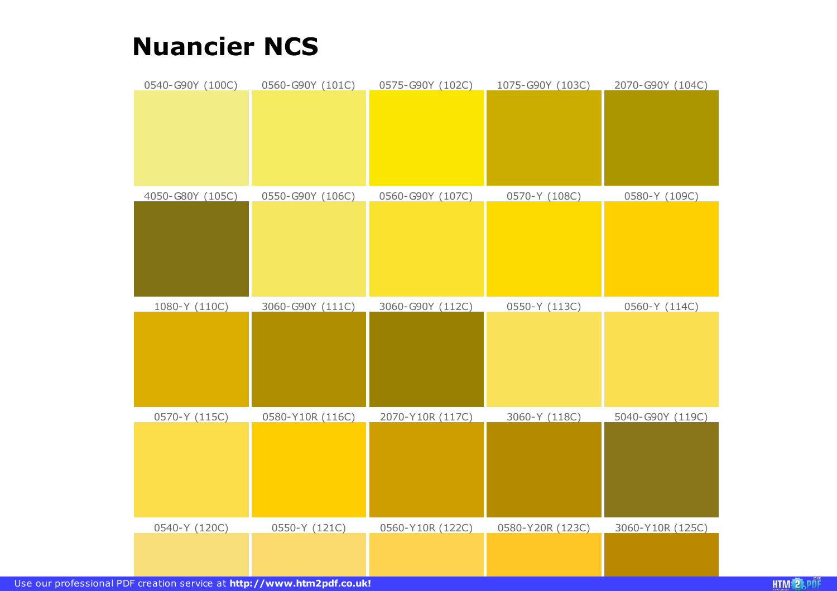## **Nuancier NCS**

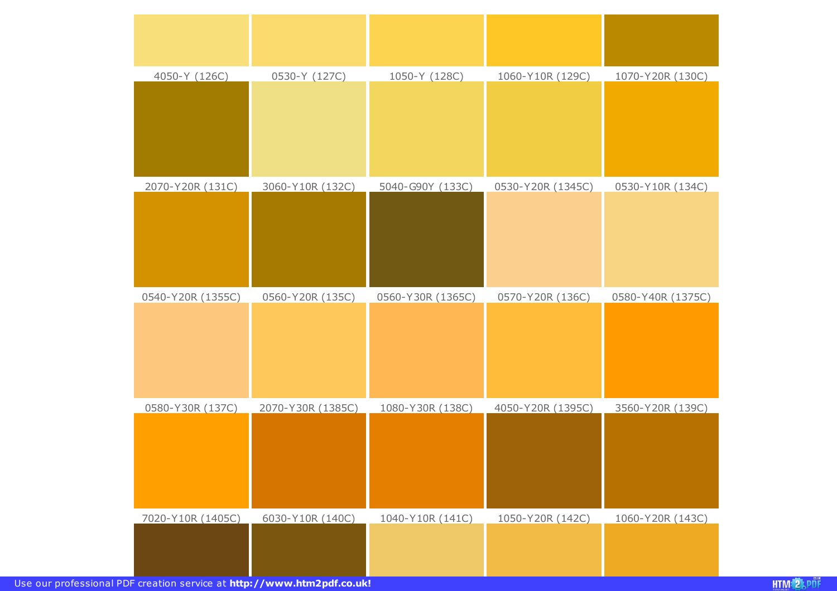| 4050-Y (126C)     | 0530-Y (127C)     | 1050-Y (128C)     | 1060-Y10R (129C)  | 1070-Y20R (130C)  |
|-------------------|-------------------|-------------------|-------------------|-------------------|
|                   |                   |                   |                   |                   |
| 2070-Y20R (131C)  | 3060-Y10R (132C)  | 5040-G90Y (133C)  | 0530-Y20R (1345C) | 0530-Y10R (134C)  |
|                   |                   |                   |                   |                   |
| 0540-Y20R (1355C) | 0560-Y20R (135C)  | 0560-Y30R (1365C) | 0570-Y20R (136C)  | 0580-Y40R (1375C) |
|                   |                   |                   |                   |                   |
| 0580-Y30R (137C)  | 2070-Y30R (1385C) | 1080-Y30R (138C)  | 4050-Y20R (1395C) | 3560-Y20R (139C)  |
|                   |                   |                   |                   |                   |
| 7020-Y10R (1405C) | 6030-Y10R (140C)  | 1040-Y10R (141C)  | 1050-Y20R (142C)  | 1060-Y20R (143C)  |
|                   |                   |                   |                   |                   |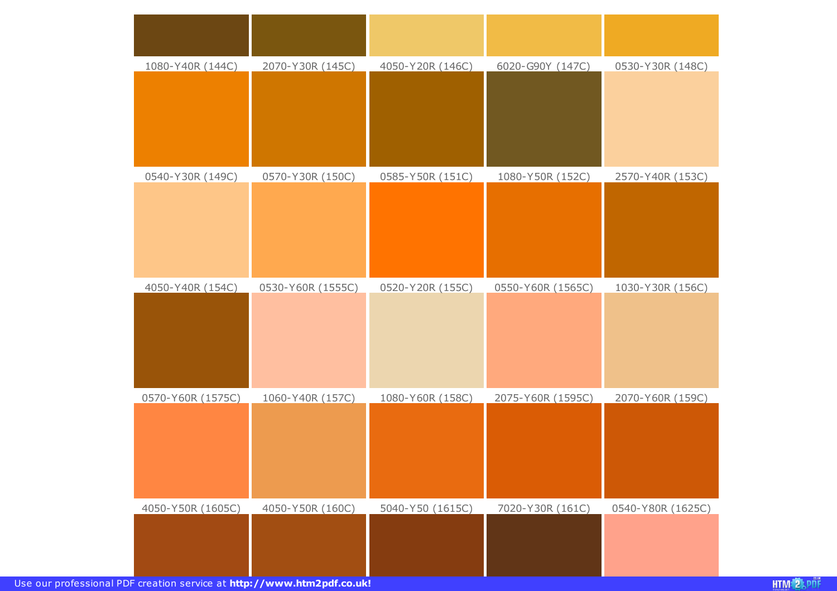| 1080-Y40R (144C)  | 2070-Y30R (145C)  | 4050-Y20R (146C) | 6020-G90Y (147C)  | 0530-Y30R (148C)  |
|-------------------|-------------------|------------------|-------------------|-------------------|
|                   |                   |                  |                   |                   |
| 0540-Y30R (149C)  | 0570-Y30R (150C)  | 0585-Y50R (151C) | 1080-Y50R (152C)  | 2570-Y40R (153C)  |
|                   |                   |                  |                   |                   |
| 4050-Y40R (154C)  | 0530-Y60R (1555C) | 0520-Y20R (155C) | 0550-Y60R (1565C) | 1030-Y30R (156C)  |
|                   |                   |                  |                   |                   |
| 0570-Y60R (1575C) | 1060-Y40R (157C)  | 1080-Y60R (158C) | 2075-Y60R (1595C) | 2070-Y60R (159C)  |
|                   |                   |                  |                   |                   |
| 4050-Y50R (1605C) | 4050-Y50R (160C)  | 5040-Y50 (1615C) | 7020-Y30R (161C)  | 0540-Y80R (1625C) |
|                   |                   |                  |                   |                   |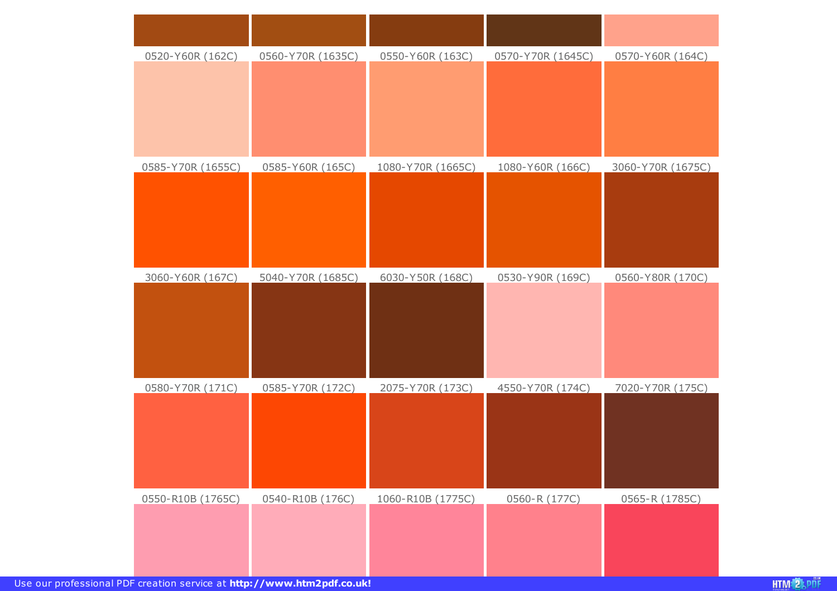| 0520-Y60R (162C)<br>0560-Y70R (1635C)<br>0550-Y60R (163C)<br>0570-Y70R (1645C)<br>0570-Y60R (164C)<br>1080-Y60R (166C)<br>0585-Y70R (1655C)<br>0585-Y60R (165C)<br>1080-Y70R (1665C)<br>3060-Y70R (1675C)<br>3060-Y60R (167C)<br>5040-Y70R (1685C)<br>6030-Y50R (168C)<br>0530-Y90R (169C)<br>0560-Y80R (170C) |
|----------------------------------------------------------------------------------------------------------------------------------------------------------------------------------------------------------------------------------------------------------------------------------------------------------------|
|                                                                                                                                                                                                                                                                                                                |
|                                                                                                                                                                                                                                                                                                                |
|                                                                                                                                                                                                                                                                                                                |
|                                                                                                                                                                                                                                                                                                                |
|                                                                                                                                                                                                                                                                                                                |
|                                                                                                                                                                                                                                                                                                                |
|                                                                                                                                                                                                                                                                                                                |
|                                                                                                                                                                                                                                                                                                                |
|                                                                                                                                                                                                                                                                                                                |
|                                                                                                                                                                                                                                                                                                                |
|                                                                                                                                                                                                                                                                                                                |
|                                                                                                                                                                                                                                                                                                                |
|                                                                                                                                                                                                                                                                                                                |
|                                                                                                                                                                                                                                                                                                                |
|                                                                                                                                                                                                                                                                                                                |
| 0580-Y70R (171C)<br>0585-Y70R (172C)<br>2075-Y70R (173C)<br>4550-Y70R (174C)<br>7020-Y70R (175C)                                                                                                                                                                                                               |
|                                                                                                                                                                                                                                                                                                                |
|                                                                                                                                                                                                                                                                                                                |
|                                                                                                                                                                                                                                                                                                                |
|                                                                                                                                                                                                                                                                                                                |
| 0550-R10B (1765C)<br>0540-R10B (176C)<br>1060-R10B (1775C)<br>0560-R (177C)<br>0565-R (1785C)                                                                                                                                                                                                                  |
|                                                                                                                                                                                                                                                                                                                |
|                                                                                                                                                                                                                                                                                                                |
|                                                                                                                                                                                                                                                                                                                |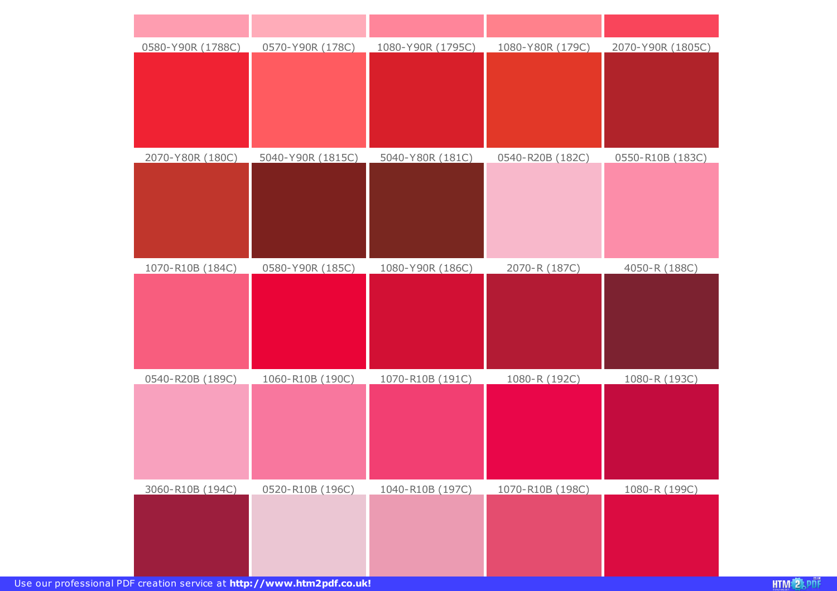| 0580-Y90R (1788C) | 0570-Y90R (178C)  | 1080-Y90R (1795C) | 1080-Y80R (179C) | 2070-Y90R (1805C) |
|-------------------|-------------------|-------------------|------------------|-------------------|
|                   |                   |                   |                  |                   |
|                   |                   |                   |                  |                   |
|                   |                   |                   |                  |                   |
|                   |                   |                   |                  |                   |
| 2070-Y80R (180C)  | 5040-Y90R (1815C) | 5040-Y80R (181C)  | 0540-R20B (182C) | 0550-R10B (183C)  |
|                   |                   |                   |                  |                   |
|                   |                   |                   |                  |                   |
|                   |                   |                   |                  |                   |
|                   |                   |                   |                  |                   |
| 1070-R10B (184C)  | 0580-Y90R (185C)  | 1080-Y90R (186C)  | 2070-R (187C)    | 4050-R (188C)     |
|                   |                   |                   |                  |                   |
|                   |                   |                   |                  |                   |
|                   |                   |                   |                  |                   |
|                   |                   |                   |                  |                   |
| 0540-R20B (189C)  | 1060-R10B (190C)  | 1070-R10B (191C)  | 1080-R (192C)    | 1080-R (193C)     |
|                   |                   |                   |                  |                   |
|                   |                   |                   |                  |                   |
|                   |                   |                   |                  |                   |
|                   |                   |                   |                  |                   |
| 3060-R10B (194C)  | 0520-R10B (196C)  | 1040-R10B (197C)  | 1070-R10B (198C) | 1080-R (199C)     |
|                   |                   |                   |                  |                   |
|                   |                   |                   |                  |                   |
|                   |                   |                   |                  |                   |
|                   |                   |                   |                  |                   |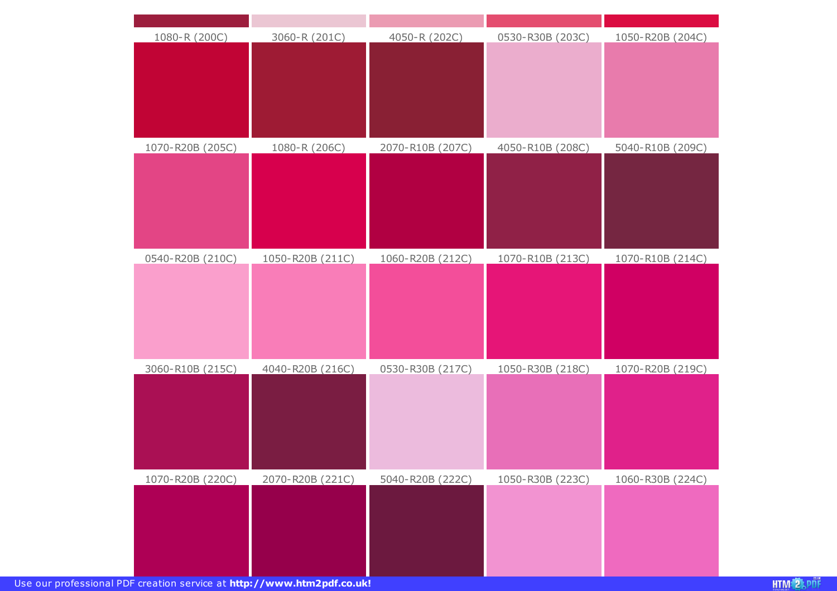| 1080-R (200C)    | 3060-R (201C)    | 4050-R (202C)    | 0530-R30B (203C) | 1050-R20B (204C) |
|------------------|------------------|------------------|------------------|------------------|
| 1070-R20B (205C) | 1080-R (206C)    | 2070-R10B (207C) | 4050-R10B (208C) | 5040-R10B (209C) |
| 0540-R20B (210C) | 1050-R20B (211C) | 1060-R20B (212C) | 1070-R10B (213C) | 1070-R10B (214C) |
| 3060-R10B (215C) | 4040-R20B (216C) | 0530-R30B (217C) | 1050-R30B (218C) | 1070-R20B (219C) |
| 1070-R20B (220C) | 2070-R20B (221C) | 5040-R20B (222C) | 1050-R30B (223C) | 1060-R30B (224C) |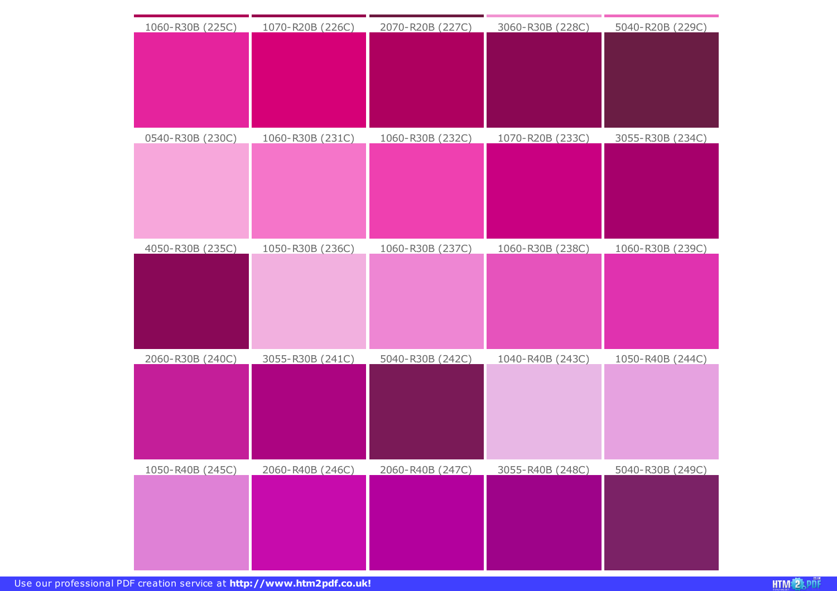| 1060-R30B (225C) | 1070-R20B (226C) | 2070-R20B (227C) | 3060-R30B (228C) | 5040-R20B (229C) |
|------------------|------------------|------------------|------------------|------------------|
|                  |                  |                  |                  |                  |
|                  |                  |                  |                  |                  |
|                  |                  |                  |                  |                  |
|                  |                  |                  |                  |                  |
|                  |                  |                  |                  |                  |
| 0540-R30B (230C) | 1060-R30B (231C) | 1060-R30B (232C) | 1070-R20B (233C) | 3055-R30B (234C) |
|                  |                  |                  |                  |                  |
|                  |                  |                  |                  |                  |
|                  |                  |                  |                  |                  |
|                  |                  |                  |                  |                  |
|                  |                  |                  |                  |                  |
| 4050-R30B (235C) | 1050-R30B (236C) | 1060-R30B (237C) | 1060-R30B (238C) | 1060-R30B (239C) |
|                  |                  |                  |                  |                  |
|                  |                  |                  |                  |                  |
|                  |                  |                  |                  |                  |
|                  |                  |                  |                  |                  |
| 2060-R30B (240C) | 3055-R30B (241C) | 5040-R30B (242C) | 1040-R40B (243C) | 1050-R40B (244C) |
|                  |                  |                  |                  |                  |
|                  |                  |                  |                  |                  |
|                  |                  |                  |                  |                  |
|                  |                  |                  |                  |                  |
|                  |                  |                  |                  |                  |
| 1050-R40B (245C) | 2060-R40B (246C) | 2060-R40B (247C) | 3055-R40B (248C) | 5040-R30B (249C) |
|                  |                  |                  |                  |                  |
|                  |                  |                  |                  |                  |
|                  |                  |                  |                  |                  |
|                  |                  |                  |                  |                  |
|                  |                  |                  |                  |                  |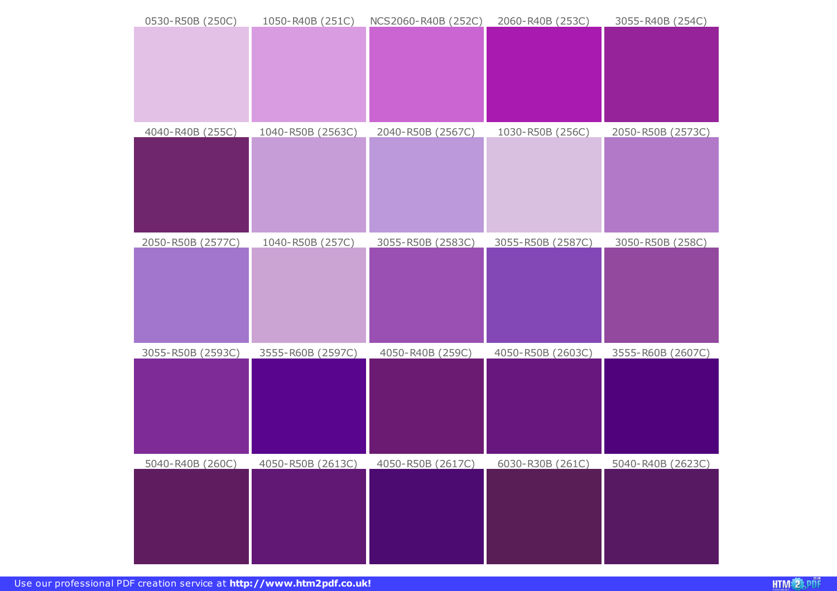| 0530-R50B (250C)  | 1050-R40B (251C)  | NCS2060-R40B (252C) | 2060-R40B (253C)  | 3055-R40B (254C)  |
|-------------------|-------------------|---------------------|-------------------|-------------------|
|                   |                   |                     |                   |                   |
|                   |                   |                     |                   |                   |
| 4040-R40B (255C)  | 1040-R50B (2563C) | 2040-R50B (2567C)   | 1030-R50B (256C)  | 2050-R50B (2573C) |
| 2050-R50B (2577C) | 1040-R50B (257C)  | 3055-R50B (2583C)   | 3055-R50B (2587C) | 3050-R50B (258C)  |
| 3055-R50B (2593C) | 3555-R60B (2597C) | 4050-R40B (259C)    | 4050-R50B (2603C) | 3555-R60B (2607C) |
| 5040-R40B (260C)  | 4050-R50B (2613C) | 4050-R50B (2617C)   | 6030-R30B (261C)  | 5040-R40B (2623C) |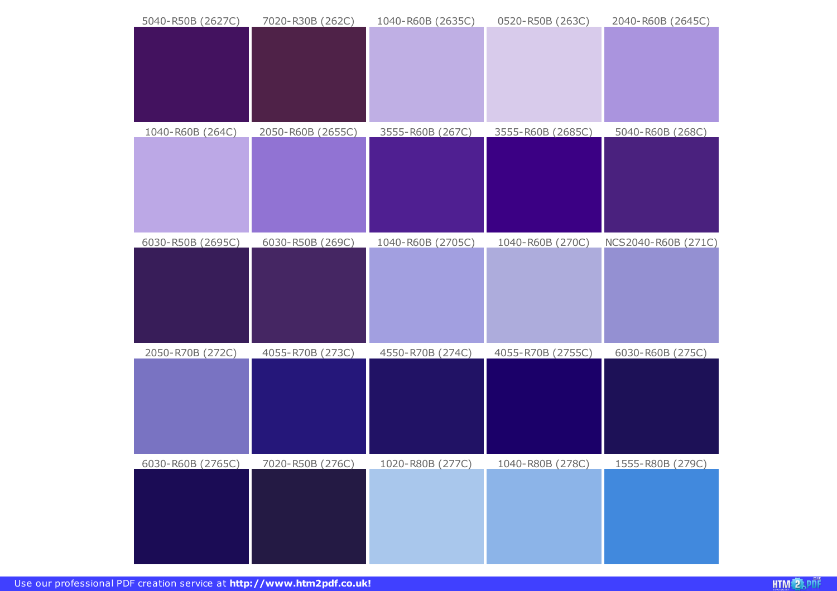| 5040-R50B (2627C)        | 7020-R30B (262C)        | 1040-R60B (2635C) | 0520-R50B (263C)         | 2040-R60B (2645C)       |
|--------------------------|-------------------------|-------------------|--------------------------|-------------------------|
| 1040-R60B (264C)         | 2050-R60B (2655C)       | 3555-R60B (267C)  | 3555-R60B (2685C)        | 5040-R60B (268C)        |
| 6030-R50B (2695C)        | 6030-R50B (269C)        | 1040-R60B (2705C) | 1040-R60B (270C)         | NCS2040-R60B (271C)     |
| 2050-R70B (272C)         | 4055-R70B (273C)        | 4550-R70B (274C)  | 4055-R70B (2755C)        | 6030-R60B (275C)        |
| <u>6030-R60B (2765C)</u> | <u>7020-R50B (276C)</u> | 1020-R80B (277C)  | <u> 1040-R80B (278C)</u> | <u>1555-R80B (279C)</u> |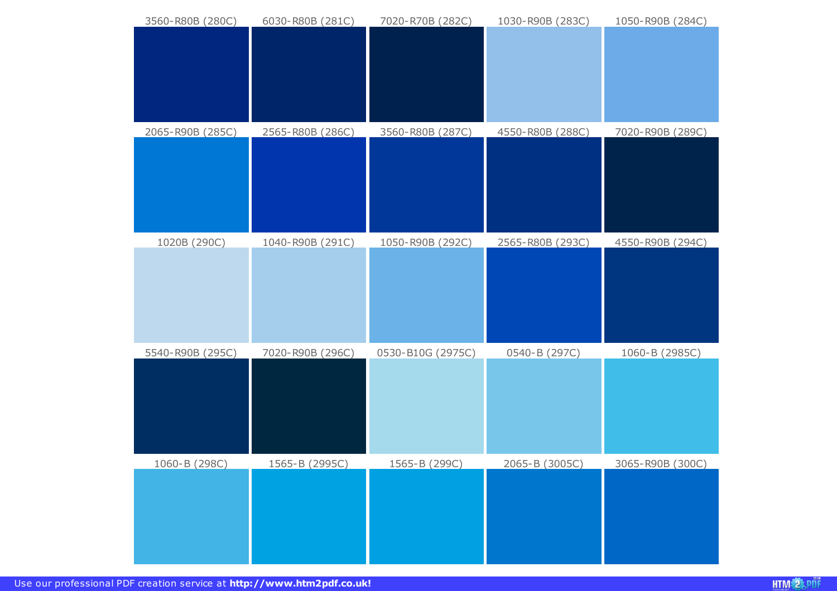| 3560-R80B (280C)      | 6030-R80B (281C)      | 7020-R70B (282C)     | 1030-R90B (283C)      | 1050-R90B (284C) |
|-----------------------|-----------------------|----------------------|-----------------------|------------------|
|                       |                       |                      |                       |                  |
|                       |                       |                      |                       |                  |
|                       |                       |                      |                       |                  |
|                       |                       |                      |                       |                  |
|                       |                       |                      |                       |                  |
| 2065-R90B (285C)      | 2565-R80B (286C)      | 3560-R80B (287C)     | 4550-R80B (288C)      | 7020-R90B (289C) |
|                       |                       |                      |                       |                  |
|                       |                       |                      |                       |                  |
|                       |                       |                      |                       |                  |
|                       |                       |                      |                       |                  |
|                       |                       |                      |                       |                  |
| 1020B (290C)          | 1040-R90B (291C)      | 1050-R90B (292C)     | 2565-R80B (293C)      | 4550-R90B (294C) |
|                       |                       |                      |                       |                  |
|                       |                       |                      |                       |                  |
|                       |                       |                      |                       |                  |
|                       |                       |                      |                       |                  |
| 5540-R90B (295C)      | 7020-R90B (296C)      | 0530-B10G (2975C)    | 0540-B (297C)         | 1060-B (2985C)   |
|                       |                       |                      |                       |                  |
|                       |                       |                      |                       |                  |
|                       |                       |                      |                       |                  |
|                       |                       |                      |                       |                  |
|                       |                       |                      |                       |                  |
| <u> 1060-B (298C)</u> | <u>1565-B (2995C)</u> | <u>1565-B (299C)</u> | <u>2065-B (3005C)</u> | 3065-R90B (300C) |
|                       |                       |                      |                       |                  |
|                       |                       |                      |                       |                  |
|                       |                       |                      |                       |                  |
|                       |                       |                      |                       |                  |
|                       |                       |                      |                       |                  |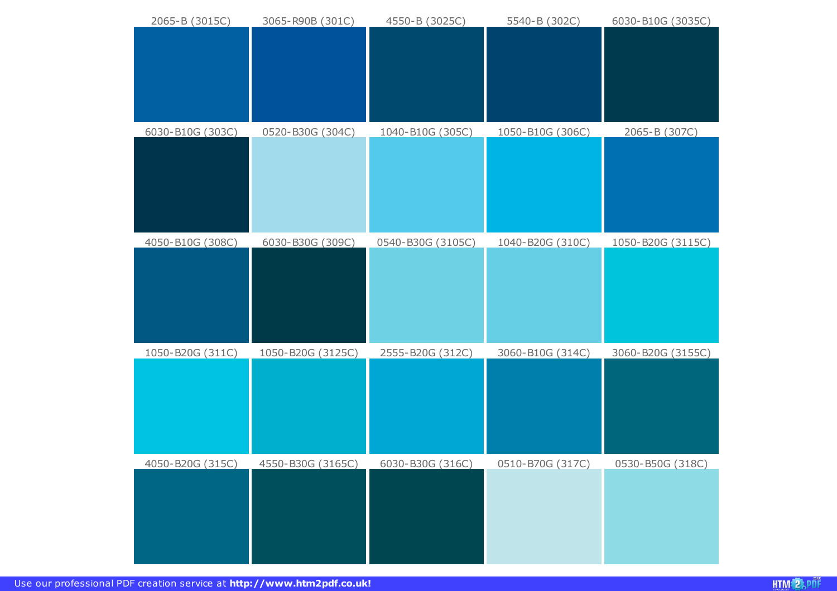| 2065-B (3015C)          | 3065-R90B (301C)         | 4550-B (3025C)          | 5540-B (302C)    | 6030-B10G (3035C) |
|-------------------------|--------------------------|-------------------------|------------------|-------------------|
|                         |                          |                         |                  |                   |
|                         |                          |                         |                  |                   |
|                         |                          |                         |                  |                   |
|                         |                          |                         |                  |                   |
|                         |                          |                         |                  |                   |
| 6030-B10G (303C)        | 0520-B30G (304C)         | 1040-B10G (305C)        | 1050-B10G (306C) | 2065-B (307C)     |
|                         |                          |                         |                  |                   |
|                         |                          |                         |                  |                   |
|                         |                          |                         |                  |                   |
|                         |                          |                         |                  |                   |
| 4050-B10G (308C)        | 6030-B30G (309C)         | 0540-B30G (3105C)       | 1040-B20G (310C) | 1050-B20G (3115C) |
|                         |                          |                         |                  |                   |
|                         |                          |                         |                  |                   |
|                         |                          |                         |                  |                   |
|                         |                          |                         |                  |                   |
|                         |                          |                         |                  |                   |
| 1050-B20G (311C)        | 1050-B20G (3125C)        | 2555-B20G (312C)        | 3060-B10G (314C) | 3060-B20G (3155C) |
|                         |                          |                         |                  |                   |
|                         |                          |                         |                  |                   |
|                         |                          |                         |                  |                   |
|                         |                          |                         |                  |                   |
|                         |                          |                         |                  |                   |
| <u>4050-B20G (315C)</u> | <u>4550-B30G (3165C)</u> | <u>6030-B30G (316C)</u> | 0510-B70G (317C) | 0530-B50G (318C)  |
|                         |                          |                         |                  |                   |
|                         |                          |                         |                  |                   |
|                         |                          |                         |                  |                   |
|                         |                          |                         |                  |                   |
|                         |                          |                         |                  |                   |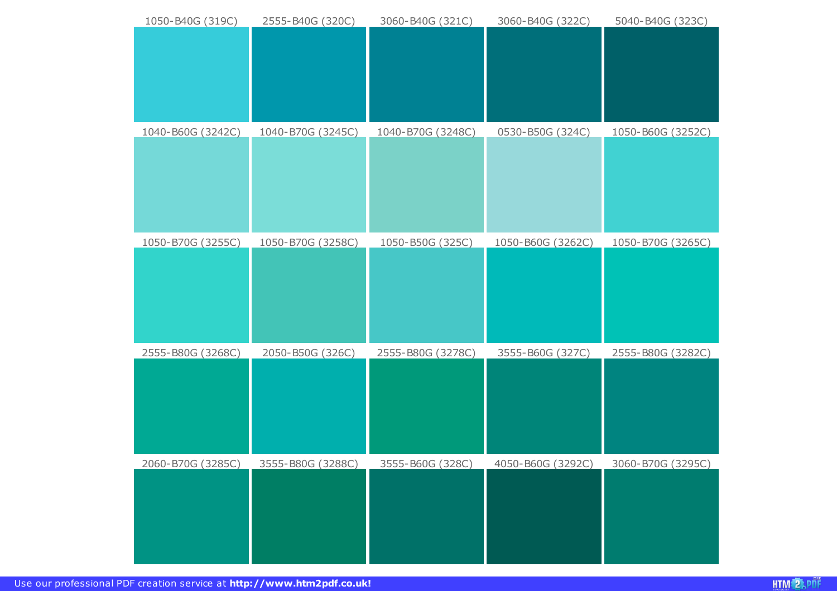| 1050-B40G (319C)  | 2555-B40G (320C)  | 3060-B40G (321C)  | 3060-B40G (322C)  | 5040-B40G (323C)  |
|-------------------|-------------------|-------------------|-------------------|-------------------|
|                   |                   |                   |                   |                   |
|                   |                   |                   |                   |                   |
|                   |                   |                   |                   |                   |
|                   |                   |                   |                   |                   |
|                   |                   |                   |                   |                   |
|                   |                   |                   |                   |                   |
| 1040-B60G (3242C) | 1040-B70G (3245C) | 1040-B70G (3248C) | 0530-B50G (324C)  | 1050-B60G (3252C) |
|                   |                   |                   |                   |                   |
|                   |                   |                   |                   |                   |
|                   |                   |                   |                   |                   |
|                   |                   |                   |                   |                   |
|                   |                   |                   |                   |                   |
|                   |                   |                   |                   |                   |
| 1050-B70G (3255C) | 1050-B70G (3258C) | 1050-B50G (325C)  | 1050-B60G (3262C) | 1050-B70G (3265C) |
|                   |                   |                   |                   |                   |
|                   |                   |                   |                   |                   |
|                   |                   |                   |                   |                   |
|                   |                   |                   |                   |                   |
|                   |                   |                   |                   |                   |
|                   |                   |                   |                   |                   |
| 2555-B80G (3268C) | 2050-B50G (326C)  | 2555-B80G (3278C) | 3555-B60G (327C)  | 2555-B80G (3282C) |
|                   |                   |                   |                   |                   |
|                   |                   |                   |                   |                   |
|                   |                   |                   |                   |                   |
|                   |                   |                   |                   |                   |
|                   |                   |                   |                   |                   |
|                   |                   |                   |                   |                   |
|                   |                   |                   |                   |                   |
| 2060-B70G (3285C) | 3555-B80G (3288C) | 3555-B60G (328C)  | 4050-B60G (3292C) | 3060-B70G (3295C) |
|                   |                   |                   |                   |                   |
|                   |                   |                   |                   |                   |
|                   |                   |                   |                   |                   |
|                   |                   |                   |                   |                   |
|                   |                   |                   |                   |                   |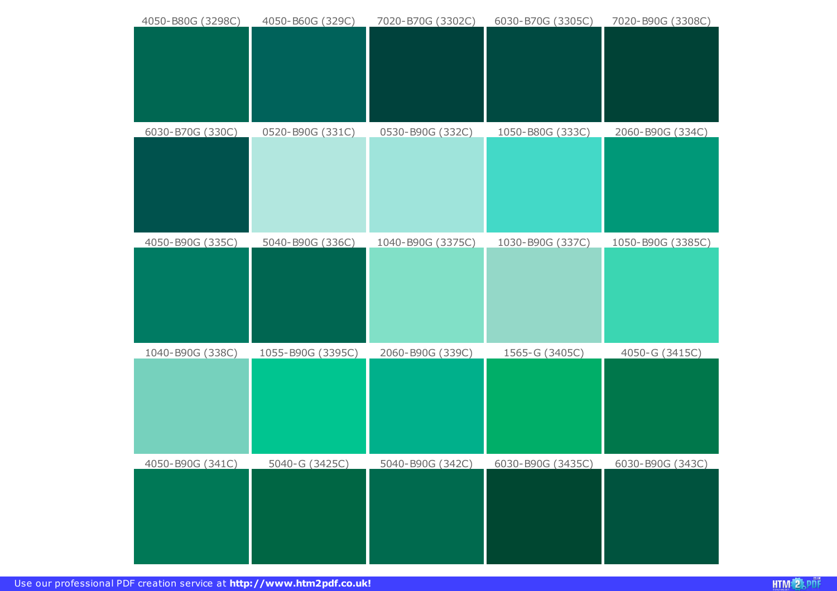| 4050-B80G (3298C)       | 4050-B60G (329C)      | 7020-B70G (3302C) | 6030-B70G (3305C)        | 7020-B90G (3308C) |
|-------------------------|-----------------------|-------------------|--------------------------|-------------------|
| 6030-B70G (330C)        | 0520-B90G (331C)      | 0530-B90G (332C)  | 1050-B80G (333C)         | 2060-B90G (334C)  |
| 4050-B90G (335C)        | 5040-B90G (336C)      | 1040-B90G (3375C) | 1030-B90G (337C)         | 1050-B90G (3385C) |
| 1040-B90G (338C)        | 1055-B90G (3395C)     | 2060-B90G (339C)  | 1565-G (3405C)           | 4050-G (3415C)    |
| <u>4050-B90G (341C)</u> | <u>5040-G (3425C)</u> | 5040-B90G (342C)  | <u>6030-B90G (3435C)</u> | 6030-B90G (343C)  |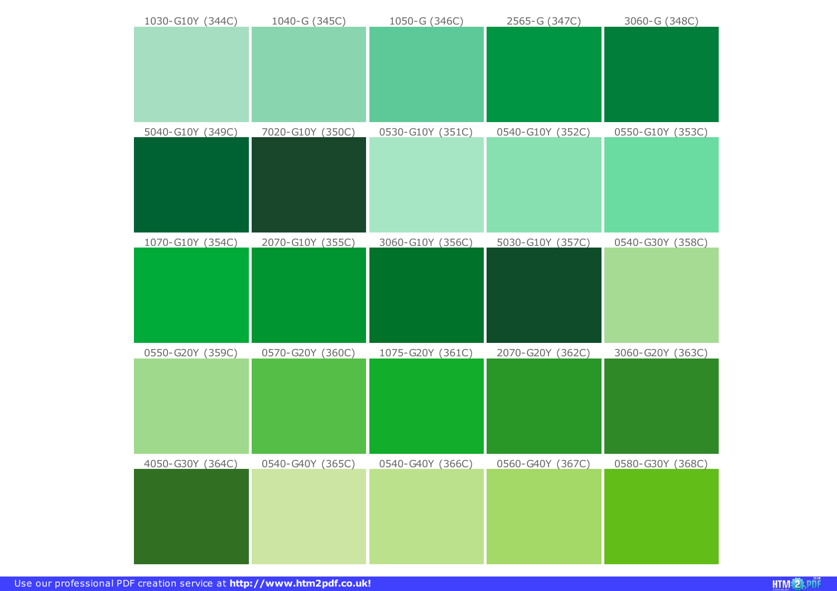| 1030-G10Y (344C) | 1040-G (345C)    | 1050-G (346C)    | 2565-G (347C)    | 3060-G (348C)    |
|------------------|------------------|------------------|------------------|------------------|
|                  |                  |                  |                  |                  |
|                  |                  |                  |                  |                  |
| 5040-G10Y (349C) | 7020-G10Y (350C) | 0530-G10Y (351C) | 0540-G10Y (352C) | 0550-G10Y (353C) |
|                  |                  |                  |                  |                  |
| 1070-G10Y (354C) | 2070-G10Y (355C) | 3060-G10Y (356C) | 5030-G10Y (357C) | 0540-G30Y (358C) |
|                  |                  |                  |                  |                  |
|                  |                  |                  |                  |                  |
|                  |                  |                  |                  |                  |
| 0550-G20Y (359C) | 0570-G20Y (360C) | 1075-G20Y (361C) | 2070-G20Y (362C) | 3060-G20Y (363C) |
|                  |                  |                  |                  |                  |
|                  |                  |                  |                  |                  |
|                  |                  |                  |                  |                  |
| 4050-G30Y (364C) | 0540-G40Y (365C) | 0540-G40Y (366C) | 0560-G40Y (367C) | 0580-G30Y (368C) |
|                  |                  |                  |                  |                  |
|                  |                  |                  |                  |                  |
|                  |                  |                  |                  |                  |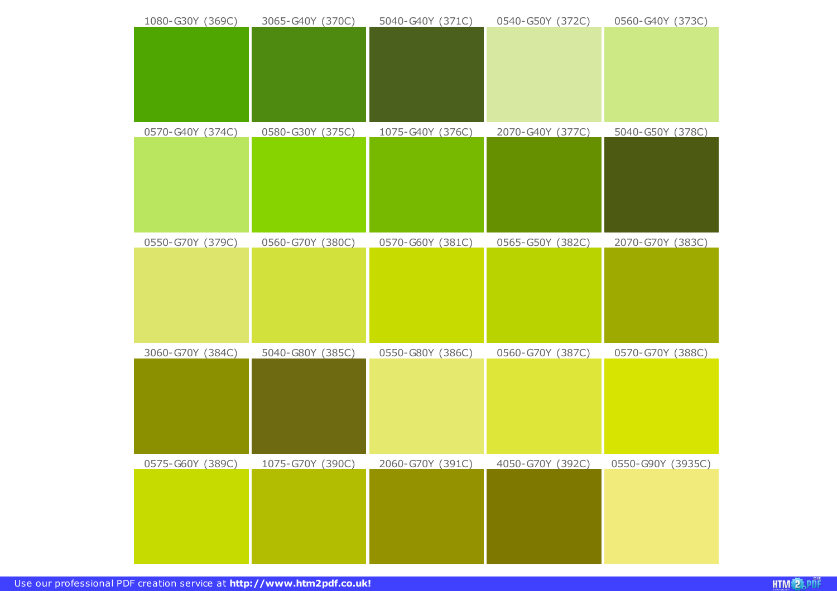| 1080-G30Y (369C) | 3065-G40Y (370C) | 5040-G40Y (371C) | 0540-G50Y (372C) | 0560-G40Y (373C)  |
|------------------|------------------|------------------|------------------|-------------------|
|                  |                  |                  |                  |                   |
|                  |                  |                  |                  |                   |
| 0570-G40Y (374C) | 0580-G30Y (375C) | 1075-G40Y (376C) | 2070-G40Y (377C) | 5040-G50Y (378C)  |
| 0550-G70Y (379C) | 0560-G70Y (380C) | 0570-G60Y (381C) | 0565-G50Y (382C) | 2070-G70Y (383C)  |
| 3060-G70Y (384C) | 5040-G80Y (385C) | 0550-G80Y (386C) | 0560-G70Y (387C) | 0570-G70Y (388C)  |
| 0575-G60Y (389C) | 1075-G70Y (390C) | 2060-G70Y (391C) | 4050-G70Y (392C) | 0550-G90Y (3935C) |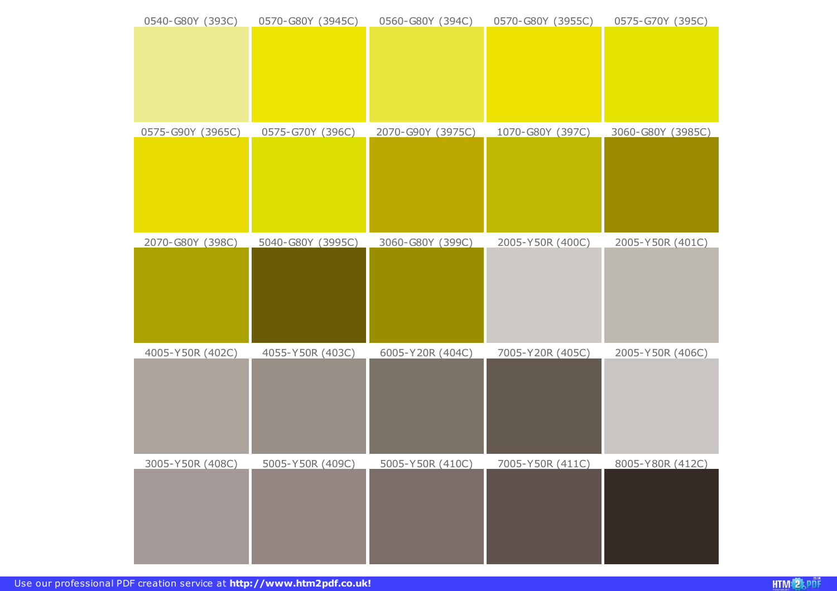| 0540-G80Y (393C)  | 0570-G80Y (3945C) | 0560-G80Y (394C)  | 0570-G80Y (3955C) | 0575-G70Y (395C)  |
|-------------------|-------------------|-------------------|-------------------|-------------------|
|                   |                   |                   |                   |                   |
|                   |                   |                   |                   |                   |
|                   |                   |                   |                   |                   |
|                   |                   |                   |                   |                   |
|                   |                   |                   |                   |                   |
| 0575-G90Y (3965C) | 0575-G70Y (396C)  | 2070-G90Y (3975C) | 1070-G80Y (397C)  | 3060-G80Y (3985C) |
|                   |                   |                   |                   |                   |
|                   |                   |                   |                   |                   |
|                   |                   |                   |                   |                   |
|                   |                   |                   |                   |                   |
|                   |                   |                   |                   |                   |
|                   |                   |                   |                   |                   |
| 2070-G80Y (398C)  | 5040-G80Y (3995C) | 3060-G80Y (399C)  | 2005-Y50R (400C)  | 2005-Y50R (401C)  |
|                   |                   |                   |                   |                   |
|                   |                   |                   |                   |                   |
|                   |                   |                   |                   |                   |
|                   |                   |                   |                   |                   |
|                   |                   |                   |                   |                   |
| 4005-Y50R (402C)  | 4055-Y50R (403C)  | 6005-Y20R (404C)  | 7005-Y20R (405C)  | 2005-Y50R (406C)  |
|                   |                   |                   |                   |                   |
|                   |                   |                   |                   |                   |
|                   |                   |                   |                   |                   |
|                   |                   |                   |                   |                   |
|                   |                   |                   |                   |                   |
| 3005-Y50R (408C)  | 5005-Y50R (409C)  | 5005-Y50R (410C)  | 7005-Y50R (411C)  | 8005-Y80R (412C)  |
|                   |                   |                   |                   |                   |
|                   |                   |                   |                   |                   |
|                   |                   |                   |                   |                   |
|                   |                   |                   |                   |                   |
|                   |                   |                   |                   |                   |
|                   |                   |                   |                   |                   |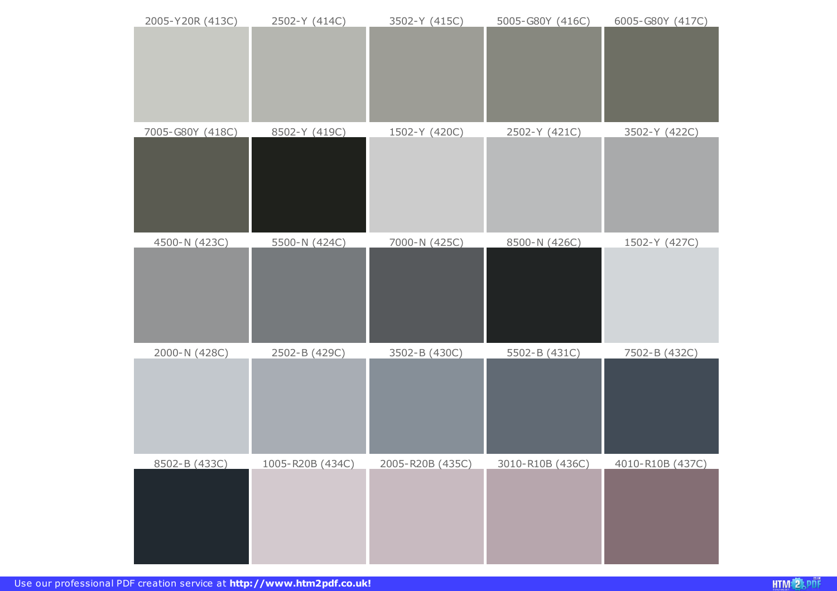| 2005-Y20R (413C) | 2502-Y (414C)    | 3502-Y (415C)    | 5005-G80Y (416C) | 6005-G80Y (417C) |
|------------------|------------------|------------------|------------------|------------------|
| 7005-G80Y (418C) | 8502-Y (419C)    | 1502-Y (420C)    | 2502-Y (421C)    | 3502-Y (422C)    |
| 4500-N (423C)    | 5500-N (424C)    | 7000-N (425C)    | 8500-N (426C)    | 1502-Y (427C)    |
| 2000-N (428C)    | 2502-B (429C)    | 3502-B (430C)    | 5502-B (431C)    | 7502-B (432C)    |
| 8502-B (433C)    | 1005-R20B (434C) | 2005-R20B (435C) | 3010-R10B (436C) | 4010-R10B (437C) |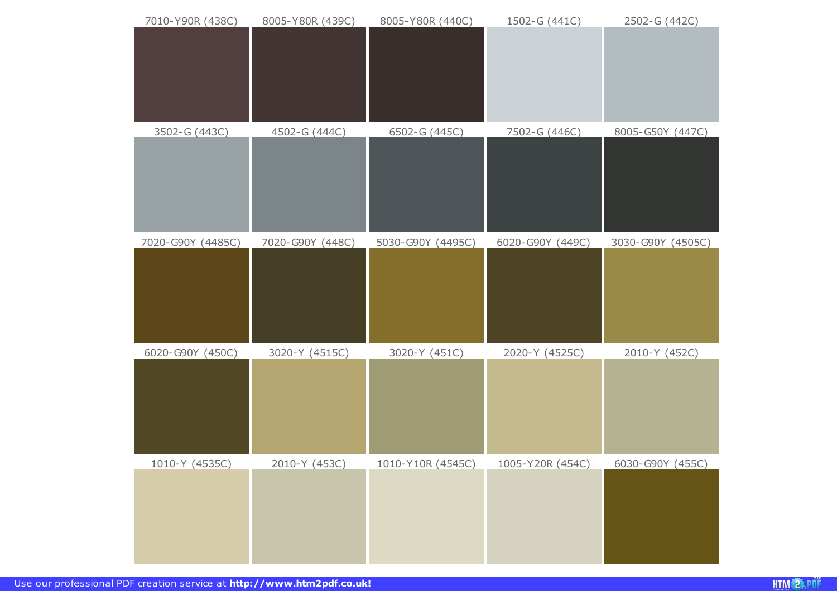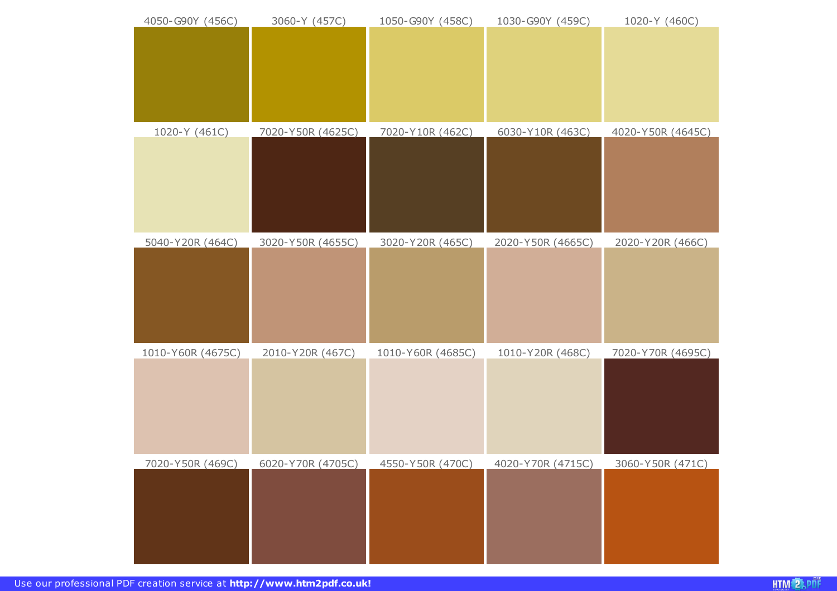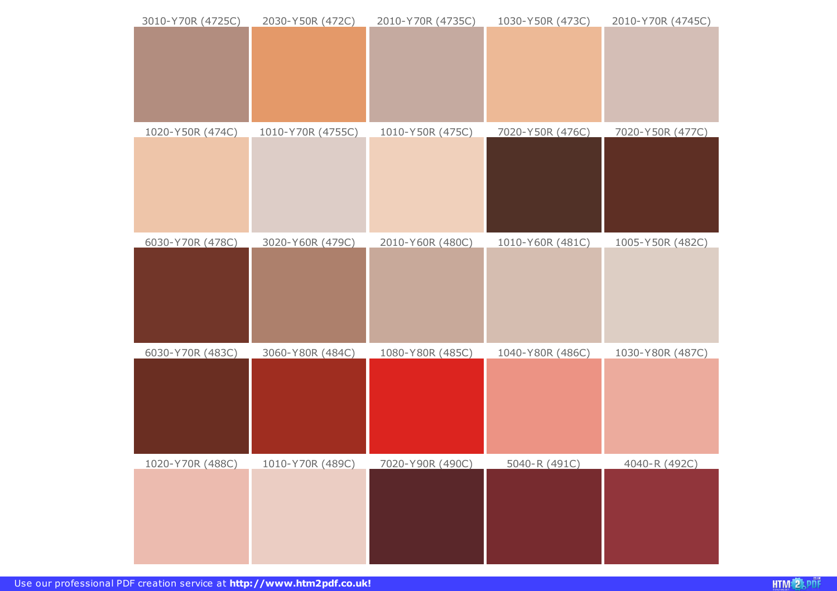| 3010-Y70R (4725C) | 2030-Y50R (472C)  | 2010-Y70R (4735C) | 1030-Y50R (473C) | 2010-Y70R (4745C) |
|-------------------|-------------------|-------------------|------------------|-------------------|
|                   |                   |                   |                  |                   |
| 1020-Y50R (474C)  | 1010-Y70R (4755C) | 1010-Y50R (475C)  | 7020-Y50R (476C) | 7020-Y50R (477C)  |
| 6030-Y70R (478C)  | 3020-Y60R (479C)  | 2010-Y60R (480C)  | 1010-Y60R (481C) | 1005-Y50R (482C)  |
| 6030-Y70R (483C)  | 3060-Y80R (484C)  | 1080-Y80R (485C)  | 1040-Y80R (486C) | 1030-Y80R (487C)  |
| 1020-Y70R (488C)  | 1010-Y70R (489C)  | 7020-Y90R (490C)  | 5040-R (491C)    | 4040-R (492C)     |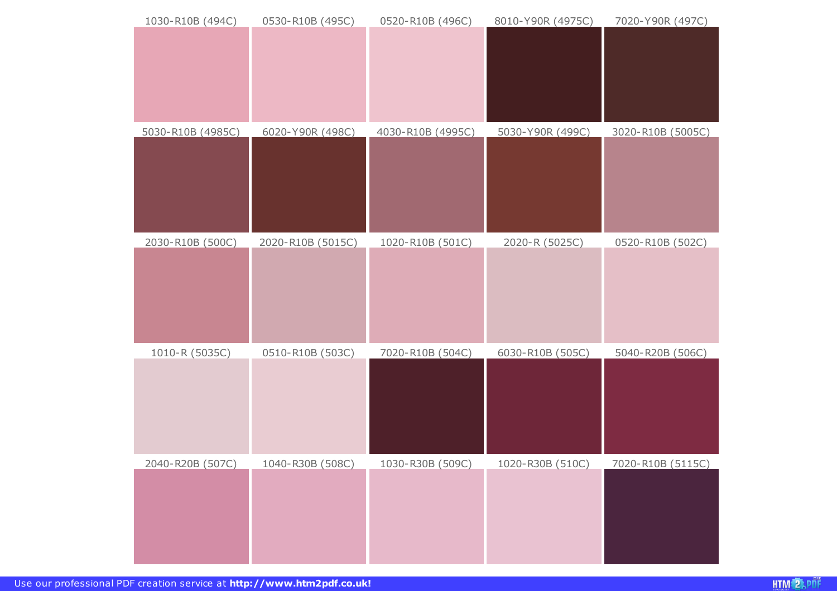| 1030-R10B (494C)        | 0530-R10B (495C)  | 0520-R10B (496C)  | 8010-Y90R (4975C) | 7020-Y90R (497C)         |
|-------------------------|-------------------|-------------------|-------------------|--------------------------|
|                         |                   |                   |                   |                          |
| 5030-R10B (4985C)       | 6020-Y90R (498C)  | 4030-R10B (4995C) | 5030-Y90R (499C)  | 3020-R10B (5005C)        |
|                         |                   |                   |                   |                          |
| 2030-R10B (500C)        | 2020-R10B (5015C) | 1020-R10B (501C)  | 2020-R (5025C)    | 0520-R10B (502C)         |
|                         |                   |                   |                   |                          |
| 1010-R (5035C)          | 0510-R10B (503C)  | 7020-R10B (504C)  | 6030-R10B (505C)  | 5040-R20B (506C)         |
|                         |                   |                   |                   |                          |
| <u>2040-R20B (507C)</u> | 1040-R30B (508C)  | 1030-R30B (509C)  | 1020-R30B (510C)  | <u>7020-R10B (5115C)</u> |
|                         |                   |                   |                   |                          |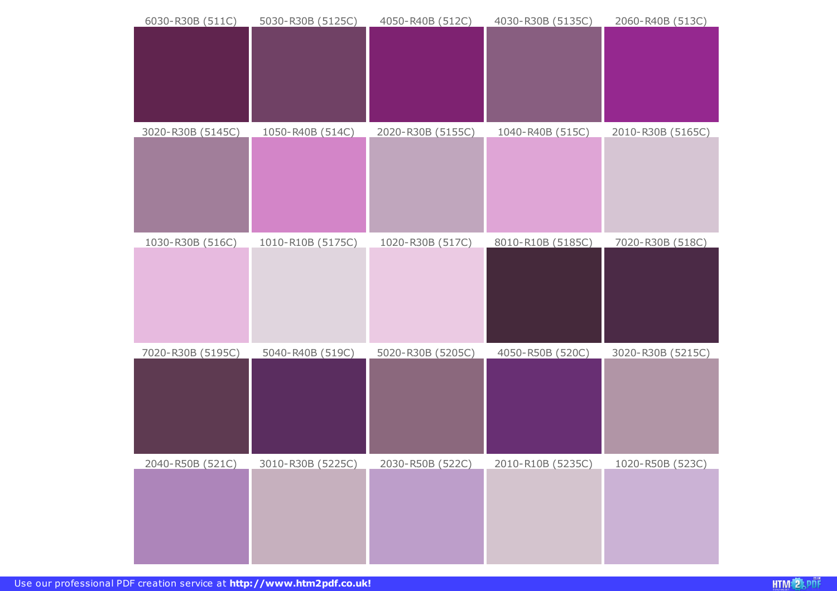| 6030-R30B (511C)        | 5030-R30B (5125C) | 4050-R40B (512C)        | 4030-R30B (5135C) | 2060-R40B (513C)  |
|-------------------------|-------------------|-------------------------|-------------------|-------------------|
| 3020-R30B (5145C)       | 1050-R40B (514C)  | 2020-R30B (5155C)       | 1040-R40B (515C)  | 2010-R30B (5165C) |
| 1030-R30B (516C)        | 1010-R10B (5175C) | 1020-R30B (517C)        | 8010-R10B (5185C) | 7020-R30B (518C)  |
| 7020-R30B (5195C)       | 5040-R40B (519C)  | 5020-R30B (5205C)       | 4050-R50B (520C)  | 3020-R30B (5215C) |
| <u>2040-R50B (521C)</u> | 3010-R30B (5225C) | <u>2030-R50B (522C)</u> | 2010-R10B (5235C) | 1020-R50B (523C)  |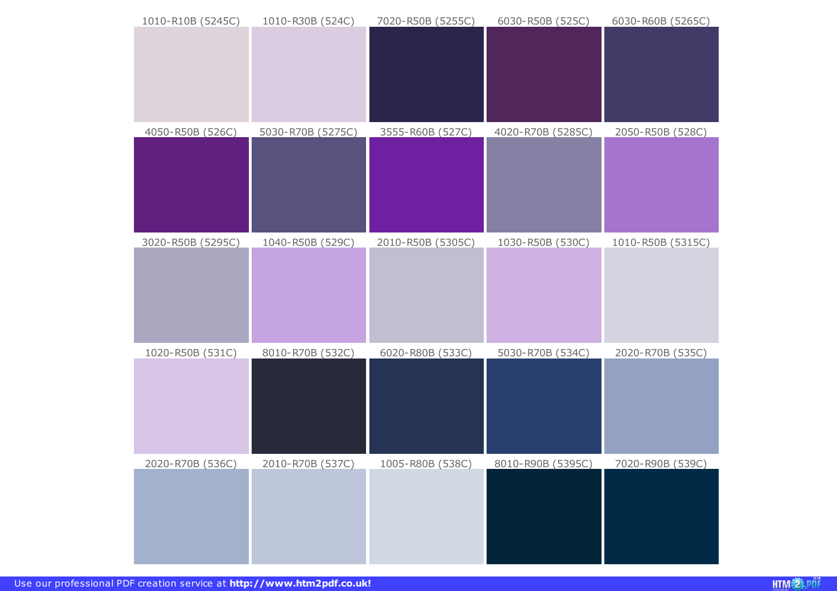| 1010-R10B (5245C) | 1010-R30B (524C)  | 7020-R50B (5255C) | 6030-R50B (525C)  | 6030-R60B (5265C) |
|-------------------|-------------------|-------------------|-------------------|-------------------|
|                   |                   |                   |                   |                   |
| 4050-R50B (526C)  | 5030-R70B (5275C) | 3555-R60B (527C)  | 4020-R70B (5285C) | 2050-R50B (528C)  |
| 3020-R50B (5295C) | 1040-R50B (529C)  | 2010-R50B (5305C) | 1030-R50B (530C)  | 1010-R50B (5315C) |
| 1020-R50B (531C)  | 8010-R70B (532C)  | 6020-R80B (533C)  | 5030-R70B (534C)  | 2020-R70B (535C)  |
| 2020-R70B (536C)  | 2010-R70B (537C)  | 1005-R80B (538C)  | 8010-R90B (5395C) | 7020-R90B (539C)  |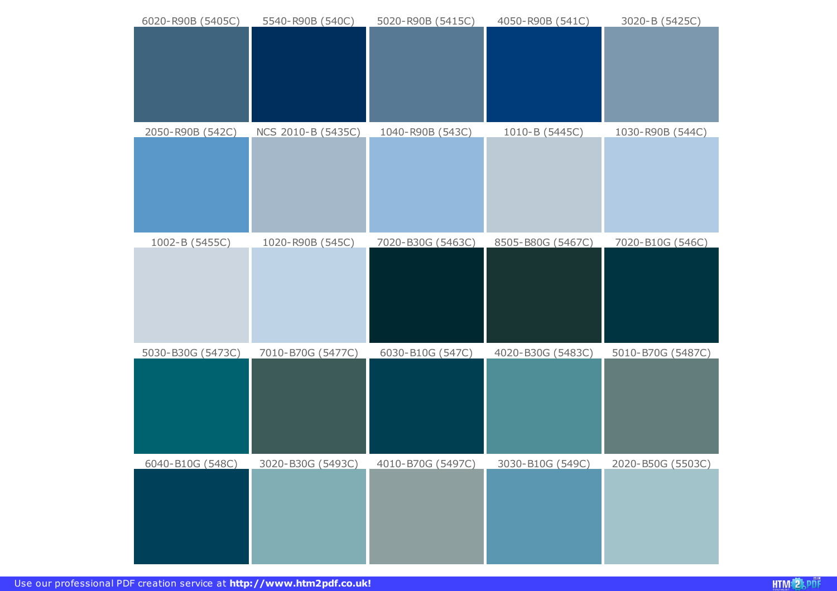| 6020-R90B (5405C) | 5540-R90B (540C)   | 5020-R90B (5415C) | 4050-R90B (541C)  | 3020-B (5425C)    |
|-------------------|--------------------|-------------------|-------------------|-------------------|
|                   |                    |                   |                   |                   |
|                   |                    |                   |                   |                   |
| 2050-R90B (542C)  | NCS 2010-B (5435C) | 1040-R90B (543C)  | 1010-B (5445C)    | 1030-R90B (544C)  |
| 1002-B (5455C)    | 1020-R90B (545C)   | 7020-B30G (5463C) | 8505-B80G (5467C) | 7020-B10G (546C)  |
| 5030-B30G (5473C) | 7010-B70G (5477C)  | 6030-B10G (547C)  | 4020-B30G (5483C) | 5010-B70G (5487C) |
| 6040-B10G (548C)  | 3020-B30G (5493C)  | 4010-B70G (5497C) | 3030-B10G (549C)  | 2020-B50G (5503C) |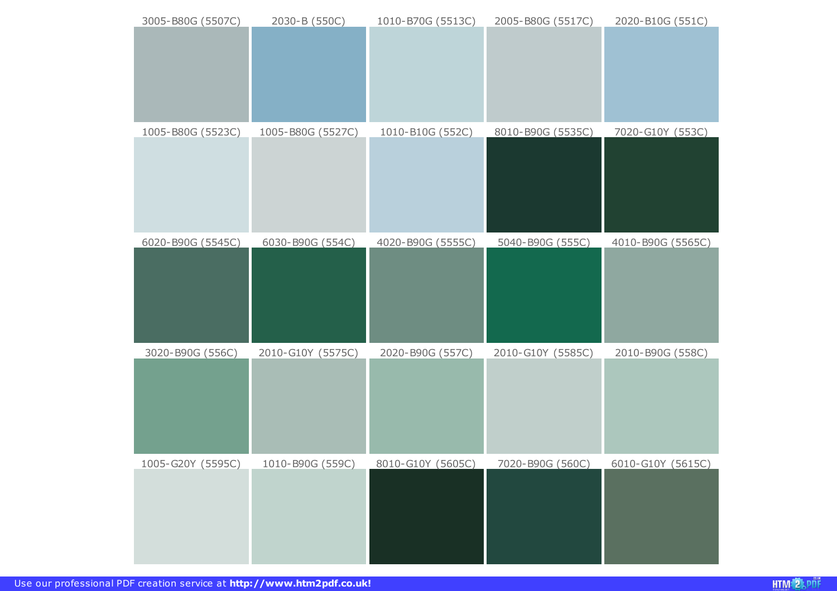| 3005-B80G (5507C) | 2030-B (550C)     | 1010-B70G (5513C) | 2005-B80G (5517C) | 2020-B10G (551C)  |
|-------------------|-------------------|-------------------|-------------------|-------------------|
|                   |                   |                   |                   |                   |
| 1005-B80G (5523C) | 1005-B80G (5527C) | 1010-B10G (552C)  | 8010-B90G (5535C) | 7020-G10Y (553C)  |
| 6020-B90G (5545C) | 6030-B90G (554C)  | 4020-B90G (5555C) | 5040-B90G (555C)  | 4010-B90G (5565C) |
| 3020-B90G (556C)  | 2010-G10Y (5575C) | 2020-B90G (557C)  | 2010-G10Y (5585C) | 2010-B90G (558C)  |
| 1005-G20Y (5595C) | 1010-B90G (559C)  | 8010-G10Y (5605C) | 7020-B90G (560C)  | 6010-G10Y (5615C) |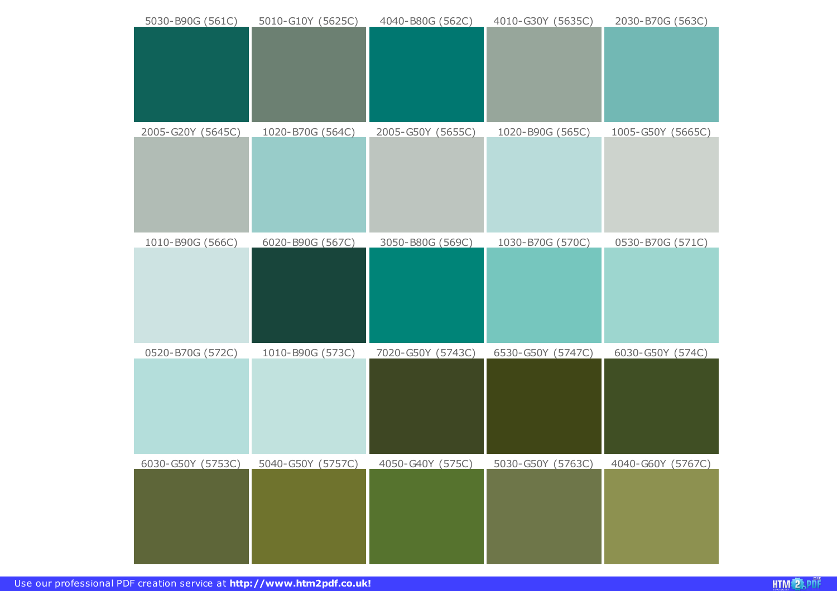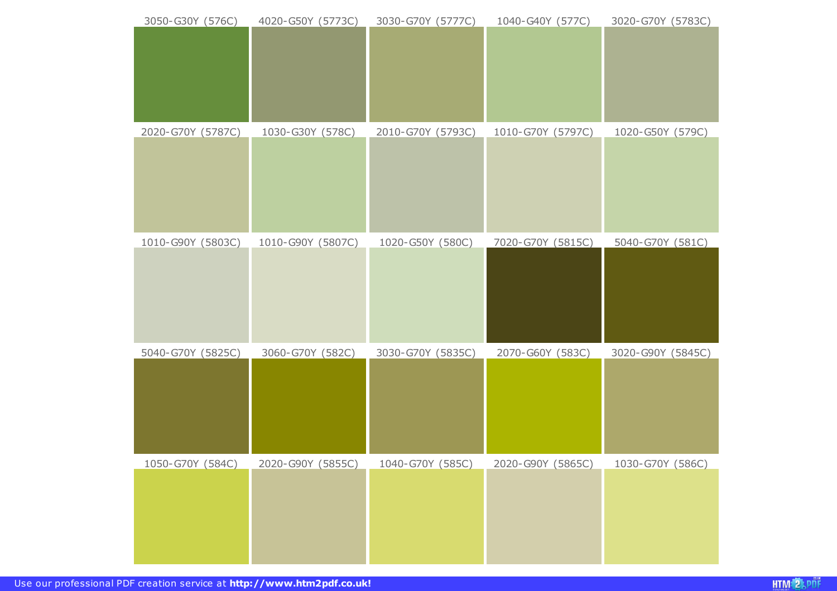| 3050-G30Y (576C)  | 4020-G50Y (5773C) | 3030-G70Y (5777C) | 1040-G40Y (577C)  | 3020-G70Y (5783C) |
|-------------------|-------------------|-------------------|-------------------|-------------------|
|                   |                   |                   |                   |                   |
| 2020-G70Y (5787C) | 1030-G30Y (578C)  | 2010-G70Y (5793C) | 1010-G70Y (5797C) | 1020-G50Y (579C)  |
| 1010-G90Y (5803C) | 1010-G90Y (5807C) | 1020-G50Y (580C)  | 7020-G70Y (5815C) | 5040-G70Y (581C)  |
| 5040-G70Y (5825C) | 3060-G70Y (582C)  | 3030-G70Y (5835C) | 2070-G60Y (583C)  | 3020-G90Y (5845C) |
| 1050-G70Y (584C)  | 2020-G90Y (5855C) | 1040-G70Y (585C)  | 2020-G90Y (5865C) | 1030-G70Y (586C)  |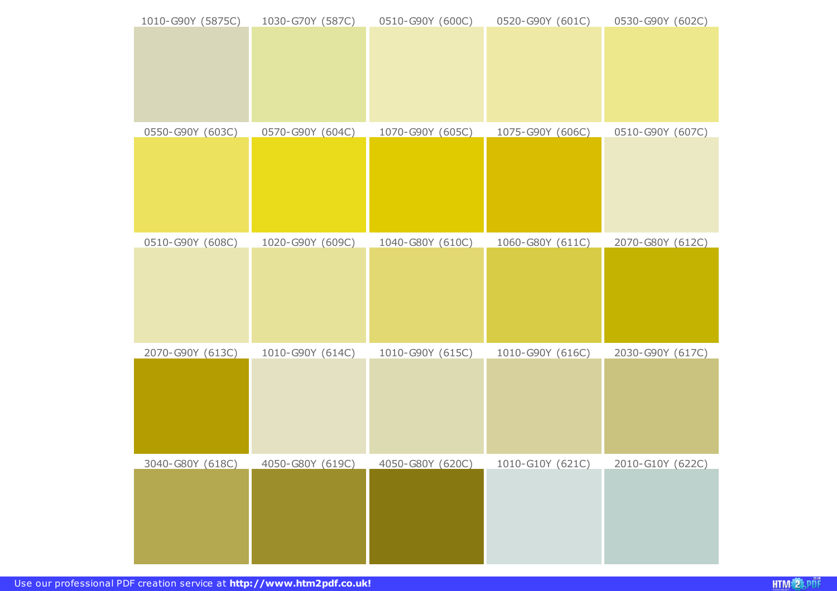| 1010-G90Y (5875C) | 1030-G70Y (587C) | 0510-G90Y (600C) | 0520-G90Y (601C) | 0530-G90Y (602C) |
|-------------------|------------------|------------------|------------------|------------------|
|                   |                  |                  |                  |                  |
|                   |                  |                  |                  |                  |
|                   |                  |                  |                  |                  |
| 0550-G90Y (603C)  | 0570-G90Y (604C) | 1070-G90Y (605C) | 1075-G90Y (606C) | 0510-G90Y (607C) |
|                   |                  |                  |                  |                  |
|                   |                  |                  |                  |                  |
|                   |                  |                  |                  |                  |
| 0510-G90Y (608C)  | 1020-G90Y (609C) | 1040-G80Y (610C) | 1060-G80Y (611C) | 2070-G80Y (612C) |
|                   |                  |                  |                  |                  |
|                   |                  |                  |                  |                  |
|                   |                  |                  |                  |                  |
| 2070-G90Y (613C)  | 1010-G90Y (614C) | 1010-G90Y (615C) | 1010-G90Y (616C) | 2030-G90Y (617C) |
|                   |                  |                  |                  |                  |
|                   |                  |                  |                  |                  |
|                   |                  |                  |                  |                  |
| 3040-G80Y (618C)  | 4050-G80Y (619C) | 4050-G80Y (620C) | 1010-G10Y (621C) | 2010-G10Y (622C) |
|                   |                  |                  |                  |                  |
|                   |                  |                  |                  |                  |
|                   |                  |                  |                  |                  |
|                   |                  |                  |                  |                  |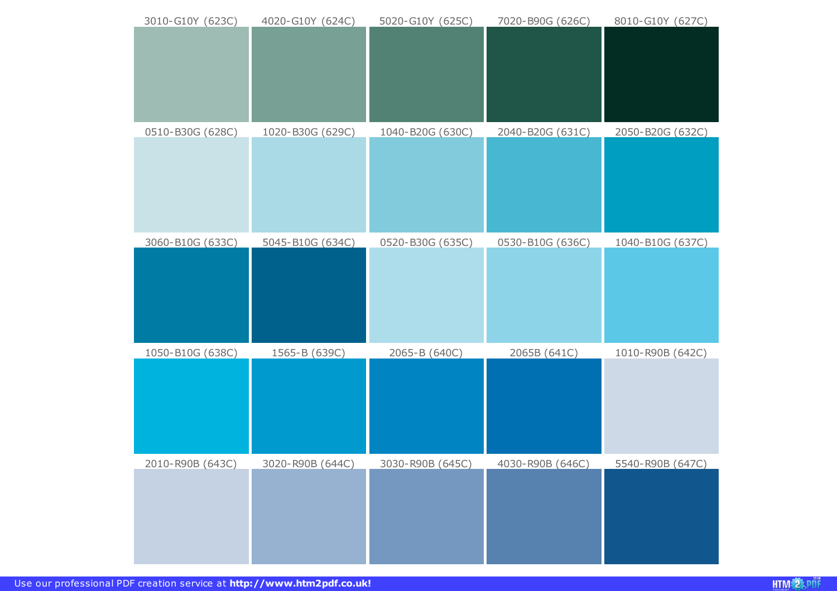| 3010-G10Y (623C) | 4020-G10Y (624C) | 5020-G10Y (625C) | 7020-B90G (626C) | 8010-G10Y (627C) |
|------------------|------------------|------------------|------------------|------------------|
|                  |                  |                  |                  |                  |
|                  |                  |                  |                  |                  |
|                  |                  |                  |                  |                  |
|                  |                  |                  |                  |                  |
|                  |                  |                  |                  |                  |
| 0510-B30G (628C) | 1020-B30G (629C) | 1040-B20G (630C) | 2040-B20G (631C) | 2050-B20G (632C) |
|                  |                  |                  |                  |                  |
|                  |                  |                  |                  |                  |
|                  |                  |                  |                  |                  |
|                  |                  |                  |                  |                  |
|                  |                  |                  |                  |                  |
| 3060-B10G (633C) | 5045-B10G (634C) | 0520-B30G (635C) | 0530-B10G (636C) | 1040-B10G (637C) |
|                  |                  |                  |                  |                  |
|                  |                  |                  |                  |                  |
|                  |                  |                  |                  |                  |
|                  |                  |                  |                  |                  |
| 1050-B10G (638C) | 1565-B (639C)    | 2065-B (640C)    | 2065B (641C)     | 1010-R90B (642C) |
|                  |                  |                  |                  |                  |
|                  |                  |                  |                  |                  |
|                  |                  |                  |                  |                  |
|                  |                  |                  |                  |                  |
|                  |                  |                  |                  |                  |
| 2010-R90B (643C) | 3020-R90B (644C) | 3030-R90B (645C) | 4030-R90B (646C) | 5540-R90B (647C) |
|                  |                  |                  |                  |                  |
|                  |                  |                  |                  |                  |
|                  |                  |                  |                  |                  |
|                  |                  |                  |                  |                  |
|                  |                  |                  |                  |                  |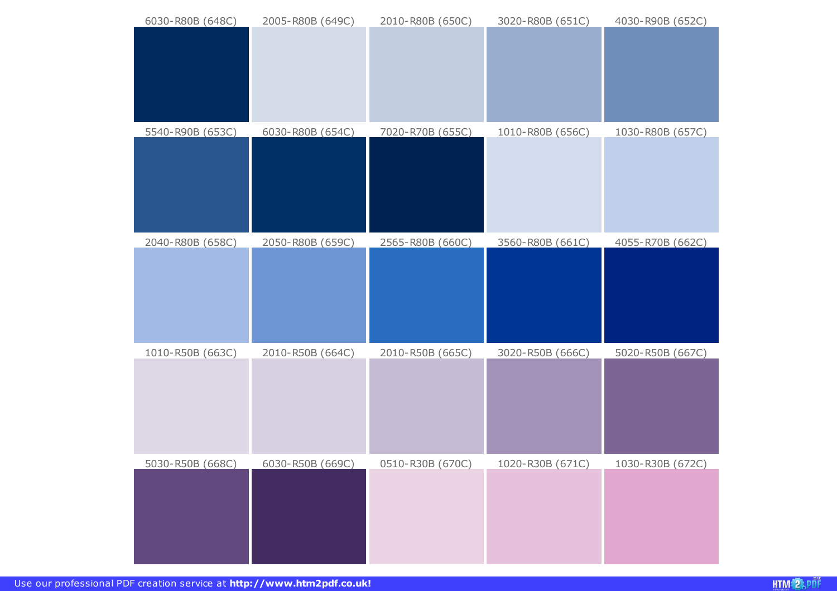| 6030-R80B (648C) | 2005-R80B (649C) | 2010-R80B (650C) | 3020-R80B (651C) | 4030-R90B (652C) |
|------------------|------------------|------------------|------------------|------------------|
|                  |                  |                  |                  |                  |
| 5540-R90B (653C) | 6030-R80B (654C) | 7020-R70B (655C) | 1010-R80B (656C) | 1030-R80B (657C) |
| 2040-R80B (658C) | 2050-R80B (659C) | 2565-R80B (660C) | 3560-R80B (661C) | 4055-R70B (662C) |
| 1010-R50B (663C) | 2010-R50B (664C) | 2010-R50B (665C) | 3020-R50B (666C) | 5020-R50B (667C) |
| 5030-R50B (668C) | 6030-R50B (669C) | 0510-R30B (670C) | 1020-R30B (671C) | 1030-R30B (672C) |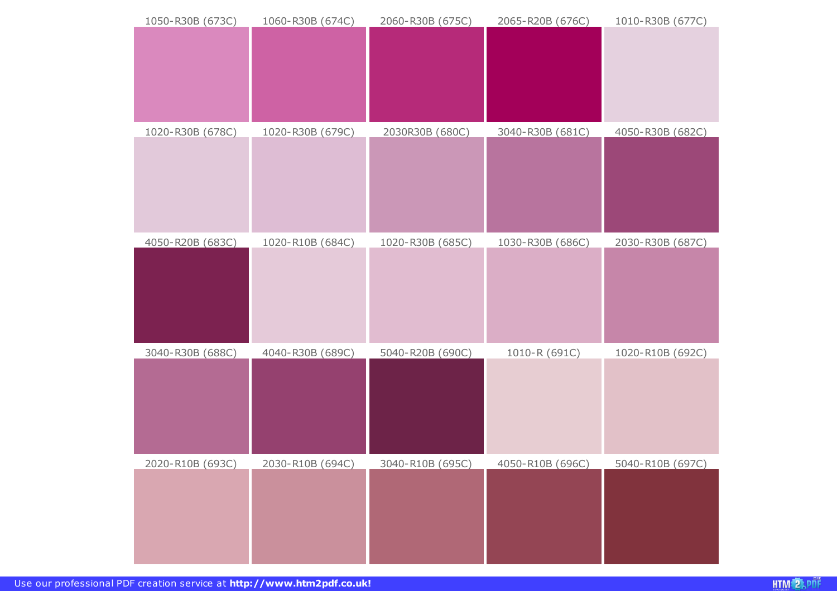| 1050-R30B (673C) | 1060-R30B (674C)        | 2060-R30B (675C) | 2065-R20B (676C)        | 1010-R30B (677C)        |
|------------------|-------------------------|------------------|-------------------------|-------------------------|
|                  |                         |                  |                         |                         |
| 1020-R30B (678C) | 1020-R30B (679C)        | 2030R30B (680C)  | 3040-R30B (681C)        | 4050-R30B (682C)        |
| 4050-R20B (683C) | 1020-R10B (684C)        | 1020-R30B (685C) | 1030-R30B (686C)        | 2030-R30B (687C)        |
| 3040-R30B (688C) | 4040-R30B (689C)        | 5040-R20B (690C) | 1010-R (691C)           | 1020-R10B (692C)        |
| 2020-R10B (693C) | <u>2030-R10B (694C)</u> | 3040-R10B (695C) | <u>4050-R10B (696C)</u> | <u>5040-R10B (697C)</u> |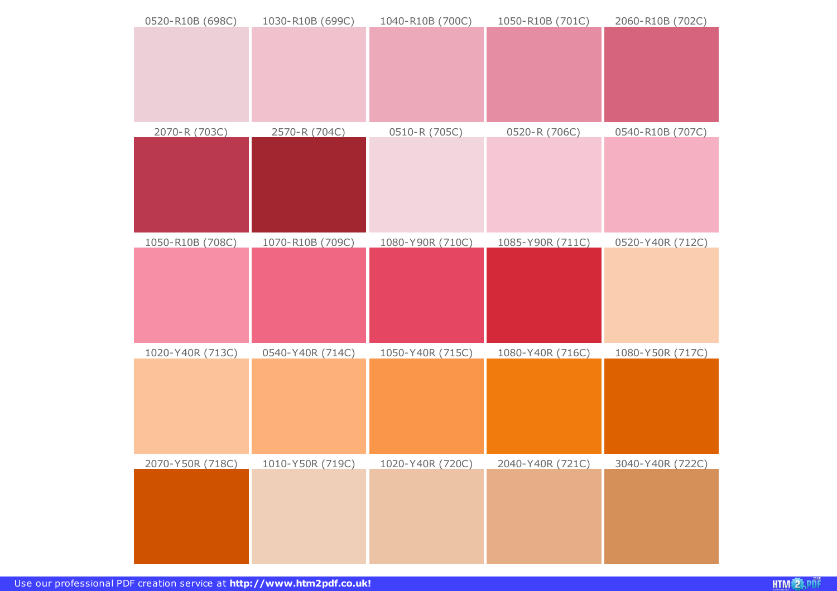| 0520-R10B (698C) | 1030-R10B (699C) | 1040-R10B (700C) | 1050-R10B (701C) | 2060-R10B (702C) |
|------------------|------------------|------------------|------------------|------------------|
|                  |                  |                  |                  |                  |
|                  |                  |                  |                  |                  |
|                  |                  |                  |                  |                  |
| 2070-R (703C)    | 2570-R (704C)    | 0510-R (705C)    | 0520-R (706C)    | 0540-R10B (707C) |
|                  |                  |                  |                  |                  |
|                  |                  |                  |                  |                  |
|                  |                  |                  |                  |                  |
| 1050-R10B (708C) | 1070-R10B (709C) | 1080-Y90R (710C) | 1085-Y90R (711C) | 0520-Y40R (712C) |
|                  |                  |                  |                  |                  |
|                  |                  |                  |                  |                  |
|                  |                  |                  |                  |                  |
| 1020-Y40R (713C) | 0540-Y40R (714C) | 1050-Y40R (715C) | 1080-Y40R (716C) | 1080-Y50R (717C) |
|                  |                  |                  |                  |                  |
|                  |                  |                  |                  |                  |
|                  |                  |                  |                  |                  |
| 2070-Y50R (718C) | 1010-Y50R (719C) | 1020-Y40R (720C) | 2040-Y40R (721C) | 3040-Y40R (722C) |
|                  |                  |                  |                  |                  |
|                  |                  |                  |                  |                  |
|                  |                  |                  |                  |                  |
|                  |                  |                  |                  |                  |